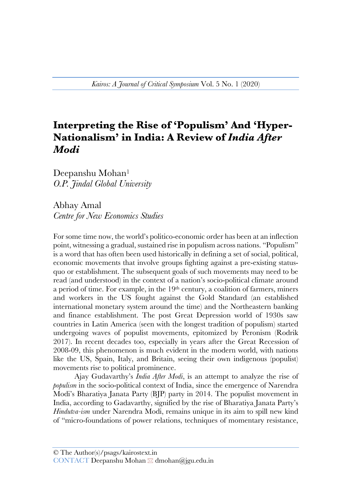## **Interpreting the Rise of 'Populism' And 'Hyper-Nationalism' in India: A Review of** *India After Modi*

Deepanshu Mohan<sup>1</sup> *O.P. Jindal Global University*

Abhay Amal *Centre for New Economics Studies* 

For some time now, the world's politico-economic order has been at an inflection point, witnessing a gradual, sustained rise in populism across nations. "Populism" is a word that has often been used historically in defining a set of social, political, economic movements that involve groups fighting against a pre-existing statusquo or establishment. The subsequent goals of such movements may need to be read (and understood) in the context of a nation's socio-political climate around a period of time. For example, in the 19th century, a coalition of farmers, miners and workers in the US fought against the Gold Standard (an established international monetary system around the time) and the Northeastern banking and finance establishment. The post Great Depression world of 1930s saw countries in Latin America (seen with the longest tradition of populism) started undergoing waves of populist movements, epitomized by Peronism (Rodrik 2017). In recent decades too, especially in years after the Great Recession of 2008-09, this phenomenon is much evident in the modern world, with nations like the US, Spain, Italy, and Britain, seeing their own indigenous (populist) movements rise to political prominence.

Ajay Gudavarthy's *India After Modi*, is an attempt to analyze the rise of *populism* in the socio-political context of India, since the emergence of Narendra Modi's Bharatiya Janata Party (BJP) party in 2014. The populist movement in India, according to Gadavarthy, signified by the rise of Bharatiya Janata Party's *Hindutva-ism* under Narendra Modi, remains unique in its aim to spill new kind of "micro-foundations of power relations, techniques of momentary resistance,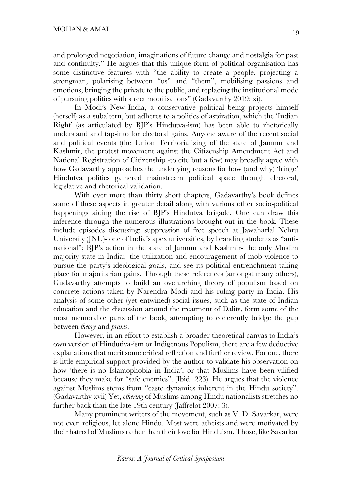and prolonged negotiation, imaginations of future change and nostalgia for past and continuity." He argues that this unique form of political organisation has some distinctive features with "the ability to create a people, projecting a strongman, polarising between "us" and "them", mobilising passions and emotions, bringing the private to the public, and replacing the institutional mode of pursuing politics with street mobilisations" (Gadavarthy 2019: xi).

In Modi's New India, a conservative political being projects himself (herself) as a subaltern, but adheres to a politics of aspiration, which the 'Indian Right' (as articulated by BJP's Hindutva-ism) has been able to rhetorically understand and tap-into for electoral gains. Anyone aware of the recent social and political events (the Union Territorializing of the state of Jammu and Kashmir, the protest movement against the Citizenship Amendment Act and National Registration of Citizenship -to cite but a few) may broadly agree with how Gadavarthy approaches the underlying reasons for how (and why) 'fringe' Hindutva politics gathered mainstream political space through electoral, legislative and rhetorical validation.

With over more than thirty short chapters, Gadavarthy's book defines some of these aspects in greater detail along with various other socio-political happenings aiding the rise of BJP's Hindutva brigade. One can draw this inference through the numerous illustrations brought out in the book. These include episodes discussing: suppression of free speech at Jawaharlal Nehru University (JNU)- one of India's apex universities, by branding students as "antinational"; BJP's action in the state of Jammu and Kashmir- the only Muslim majority state in India; the utilization and encouragement of mob violence to pursue the party's ideological goals, and see its political entrenchment taking place for majoritarian gains. Through these references (amongst many others), Gudavarthy attempts to build an overarching theory of populism based on concrete actions taken by Narendra Modi and his ruling party in India. His analysis of some other (yet entwined) social issues, such as the state of Indian education and the discussion around the treatment of Dalits, form some of the most memorable parts of the book, attempting to coherently bridge the gap between *theory* and *praxis*.

However, in an effort to establish a broader theoretical canvas to India's own version of Hindutiva-ism or Indigenous Populism, there are a few deductive explanations that merit some critical reflection and further review. For one, there is little empirical support provided by the author to validate his observation on how 'there is no Islamophobia in India', or that Muslims have been vilified because they make for "safe enemies". (Ibid 223). He argues that the violence against Muslims stems from "caste dynamics inherent in the Hindu society". (Gadavarthy xvii) Yet, *othering* of Muslims among Hindu nationalists stretches no further back than the late 19th century (Jaffrelot 2007: 3).

Many prominent writers of the movement, such as V. D. Savarkar, were not even religious, let alone Hindu. Most were atheists and were motivated by their hatred of Muslims rather than their love for Hinduism. Those, like Savarkar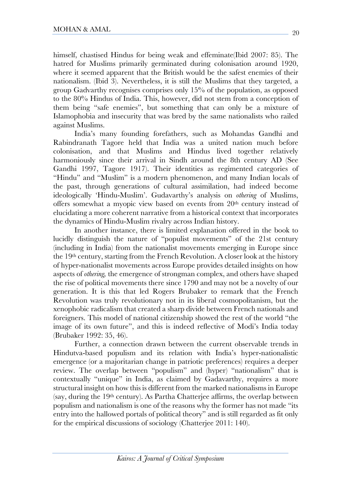himself, chastised Hindus for being weak and effeminate(Ibid 2007: 85). The hatred for Muslims primarily germinated during colonisation around 1920, where it seemed apparent that the British would be the safest enemies of their nationalism. (Ibid 3). Nevertheless, it is still the Muslims that they targeted, a group Gadvarthy recognises comprises only 15% of the population, as opposed to the 80% Hindus of India. This, however, did not stem from a conception of them being "safe enemies", but something that can only be a mixture of Islamophobia and insecurity that was bred by the same nationalists who railed against Muslims.

India's many founding forefathers, such as Mohandas Gandhi and Rabindranath Tagore held that India was a united nation much before colonisation, and that Muslims and Hindus lived together relatively harmoniously since their arrival in Sindh around the 8th century AD (See Gandhi 1997, Tagore 1917). Their identities as regimented categories of "Hindu" and "Muslim" is a modern phenomenon, and many Indian locals of the past, through generations of cultural assimilation, had indeed become ideologically 'Hindu-Muslim'. Gudavarthy's analysis on *othering* of Muslims, offers somewhat a myopic view based on events from 20th century instead of elucidating a more coherent narrative from a historical context that incorporates the dynamics of Hindu-Muslim rivalry across Indian history.

In another instance, there is limited explanation offered in the book to lucidly distinguish the nature of "populist movements" of the 21st century (including in India) from the nationalist movements emerging in Europe since the 19th century, starting from the French Revolution. A closer look at the history of hyper-nationalist movements across Europe provides detailed insights on how aspects of *othering,* the emergence of strongman complex, and others have shaped the rise of political movements there since 1790 and may not be a novelty of our generation. It is this that led Rogers Brubaker to remark that the French Revolution was truly revolutionary not in its liberal cosmopolitanism, but the xenophobic radicalism that created a sharp divide between French nationals and foreigners. This model of national citizenship showed the rest of the world "the image of its own future", and this is indeed reflective of Modi's India today (Brubaker 1992: 35, 46).

Further, a connection drawn between the current observable trends in Hindutva-based populism and its relation with India's hyper-nationalistic emergence (or a majoritarian change in patriotic preferences) requires a deeper review. The overlap between "populism" and (hyper) "nationalism" that is contextually "unique" in India, as claimed by Gadavarthy, requires a more structural insight on how this is different from the marked nationalisms in Europe (say, during the 19th century). As Partha Chatterjee affirms, the overlap between populism and nationalism is one of the reasons why the former has not made "its entry into the hallowed portals of political theory" and is still regarded as fit only for the empirical discussions of sociology (Chatterjee 2011: 140).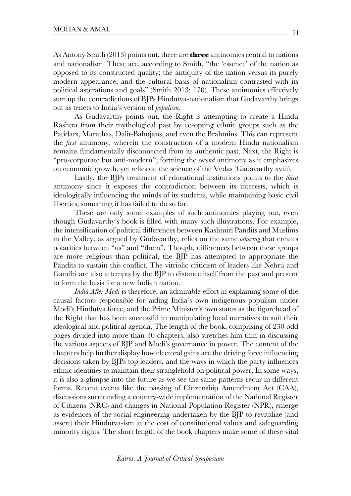As Antony Smith (2013) points out, there are **three** antinomies central to nations and nationalism. These are, according to Smith, "the 'essence' of the nation as opposed to its constructed quality; the antiquity of the nation versus its purely modern appearance; and the cultural basis of nationalism contrasted with its political aspirations and goals" (Smith 2013: 170). These antinomies effectively sum up the contradictions of BJPs Hindutva-nationalism that Gudavarthy brings out as tenets to India's version of *populism*.

As Gudavarthy points out, the Right is attempting to create a Hindu Rashtra from their mythological past by co-opting ethnic groups such as the Patidars, Marathas, Dalit-Bahujans, and even the Brahmins. This can represent the *first* antimony, wherein the construction of a modern Hindu nationalism remains fundamentally disconnected from its authentic past. Next, the Right is "pro-corporate but anti-modern", forming the *second* antimony as it emphasizes on economic growth, yet relies on the science of the Vedas (Gadavarthy xviii).

Lastly, the BJPs treatment of educational institutions points to the *third* antimony since it exposes the contradiction between its interests, which is ideologically influencing the minds of its students, while maintaining basic civil liberties, something it has failed to do so far.

These are only some examples of such antinomies playing out, even though Gudavarthy's book is filled with many such illustrations. For example, the intensification of political differences between Kashmiri Pandits and Muslims in the Valley, as argued by Gudavarthy, relies on the same *othering* that creates polarities between "us" and "them". Though, differences between these groups are more religious than political, the BJP has attempted to appropriate the Pandits to sustain this conflict. The vitriolic criticism of leaders like Nehru and Gandhi are also attempts by the BJP to distance itself from the past and present to form the basis for a new Indian nation.

*India After Modi* is therefore, an admirable effort in explaining some of the causal factors responsible for aiding India's own indigenous populism under Modi's Hindutva force, and the Prime Minister's own status as the figurehead of the Right that has been successful in manipulating local narratives to suit their ideological and political agenda. The length of the book, comprising of 230 odd pages divided into more than 30 chapters, also stretches him thin in discussing the various aspects of BJP and Modi's governance in power. The content of the chapters help further display how electoral gains are the driving force influencing decisions taken by BJPs top leaders, and the ways in which the party influences ethnic identities to maintain their stranglehold on political power. In some ways, it is also a glimpse into the future as we see the same patterns recur in different forms. Recent events like the passing of Citizenship Amendment Act (CAA), discussions surrounding a country-wide implementation of the National Register of Citizens (NRC) and changes in National Population Register (NPR), emerge as evidences of the social engineering undertaken by the BJP to revitalize (and assert) their Hindutva-ism at the cost of constitutional values and safeguarding minority rights. The short length of the book chapters make some of these vital